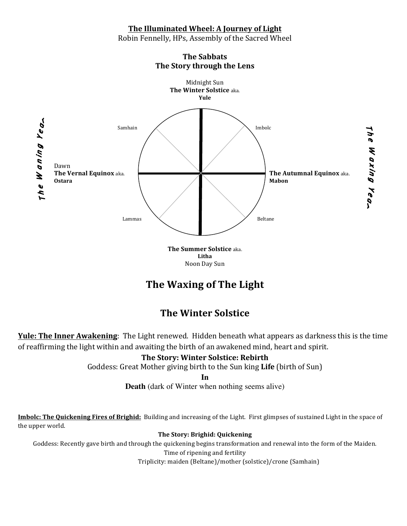### **The Illuminated Wheel: A Journey of Light**

Robin Fennelly, HPs, Assembly of the Sacred Wheel



**The Sabbats The Story through the Lens** 

> **The Summer Solstice aka. Litha** Noon Day Sun

# **The Waxing of The Light**

# **The Winter Solstice**

**Yule: The Inner Awakening**: The Light renewed. Hidden beneath what appears as darkness this is the time of reaffirming the light within and awaiting the birth of an awakened mind, heart and spirit.

### **The Story: Winter Solstice: Rebirth**

Goddess: Great Mother giving birth to the Sun king Life (birth of Sun)

**In**

**Death** (dark of Winter when nothing seems alive)

**Imbolc: The Quickening Fires of Brighid:** Building and increasing of the Light. First glimpses of sustained Light in the space of the upper world.

### **The Story: Brighid: Quickening**

Goddess: Recently gave birth and through the quickening begins transformation and renewal into the form of the Maiden. Time of ripening and fertility

Triplicity: maiden (Beltane)/mother (solstice)/crone (Samhain)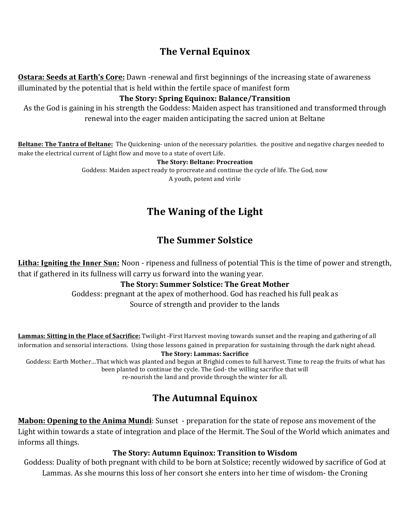## **The Vernal Equinox**

**Ostara: Seeds at Earth's Core:** Dawn -renewal and first beginnings of the increasing state of awareness illuminated by the potential that is held within the fertile space of manifest form

### **The Story: Spring Equinox: Balance/Transition**

As the God is gaining in his strength the Goddess: Maiden aspect has transitioned and transformed through renewal into the eager maiden anticipating the sacred union at Beltane

**Beltane: The Tantra of Beltane:** The Quickening- union of the necessary polarities. the positive and negative charges needed to make the electrical current of Light flow and move to a state of overt Life.

#### **The Story: Beltane: Procreation**

Goddess: Maiden aspect ready to procreate and continue the cycle of life. The God, now A youth, potent and virile

# **The Waning of the Light**

## **The Summer Solstice**

Litha: Igniting the Inner Sun: Noon - ripeness and fullness of potential This is the time of power and strength, that if gathered in its fullness will carry us forward into the waning year.

### **The Story: Summer Solstice: The Great Mother**

Goddess: pregnant at the apex of motherhood. God has reached his full peak as Source of strength and provider to the lands

**Lammas: Sitting in the Place of Sacrifice:** Twilight -First Harvest moving towards sunset and the reaping and gathering of all information and sensorial interactions. Using those lessons gained in preparation for sustaining through the dark night ahead.

#### The Story: Lammas: Sacrifice

Goddess: Earth Mother…That which was planted and begun at Brighid comes to full harvest. Time to reap the fruits of what has been planted to continue the cycle. The God- the willing sacrifice that will re-nourish the land and provide through the winter for all.

## **The Autumnal Equinox**

**Mabon: Opening to the Anima Mundi**: Sunset - preparation for the state of repose ans movement of the Light within towards a state of integration and place of the Hermit. The Soul of the World which animates and informs all things.

### The Story: Autumn Equinox: Transition to Wisdom

Goddess: Duality of both pregnant with child to be born at Solstice; recently widowed by sacrifice of God at Lammas. As she mourns this loss of her consort she enters into her time of wisdom- the Croning